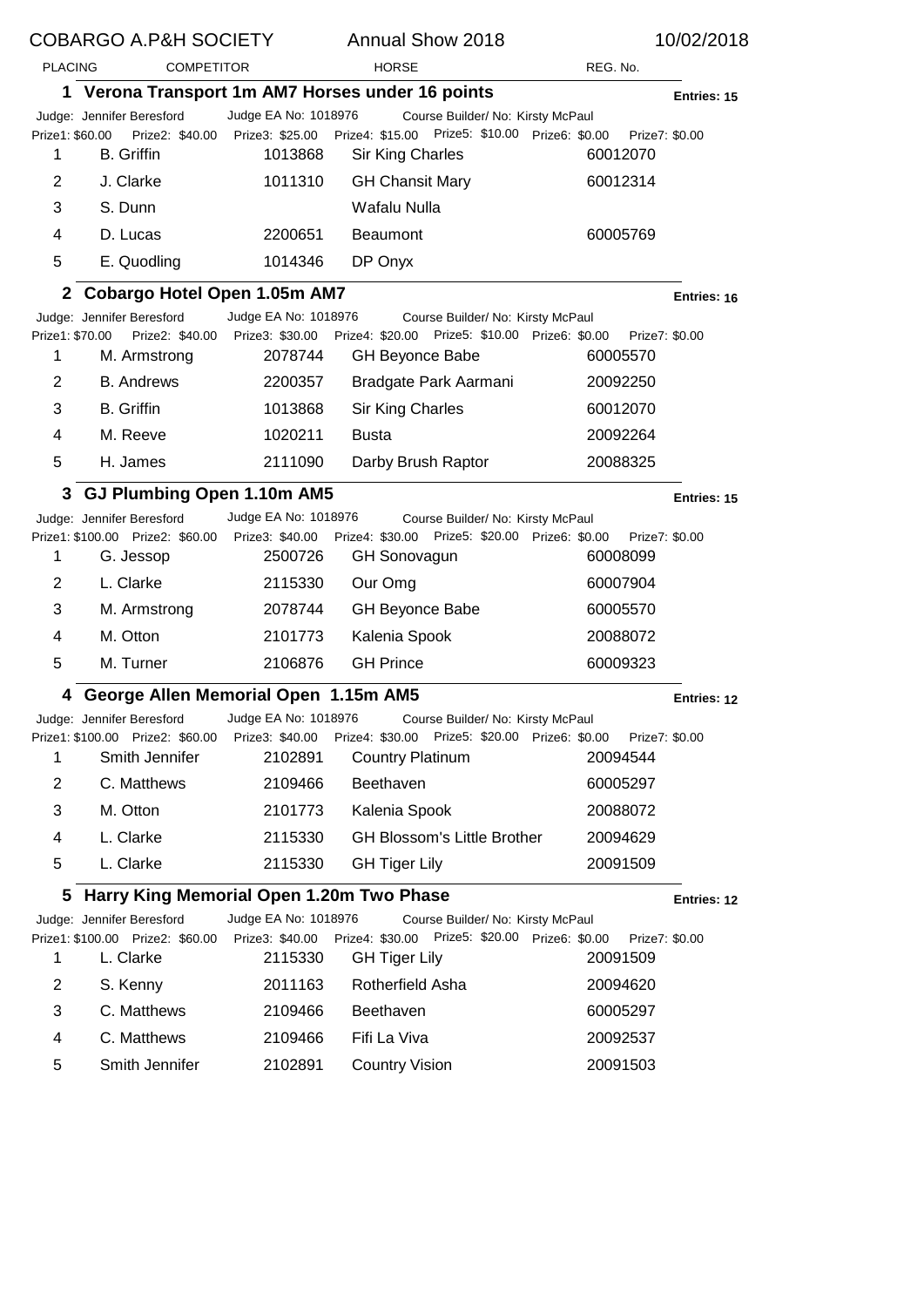| <b>COBARGO A.P&amp;H SOCIETY</b> |                                                               |                                         | <b>Annual Show 2018</b>                                                             |                            | 10/02/2018  |
|----------------------------------|---------------------------------------------------------------|-----------------------------------------|-------------------------------------------------------------------------------------|----------------------------|-------------|
|                                  | <b>PLACING</b><br><b>COMPETITOR</b>                           |                                         | <b>HORSE</b>                                                                        | REG. No.                   |             |
|                                  |                                                               |                                         | 1 Verona Transport 1m AM7 Horses under 16 points                                    |                            | Entries: 15 |
|                                  | Judge: Jennifer Beresford                                     | Judge EA No: 1018976                    | Course Builder/ No: Kirsty McPaul                                                   |                            |             |
| Prize1: \$60.00<br>1             | Prize2: \$40.00<br><b>B.</b> Griffin                          | Prize3: \$25.00<br>1013868              | Prize4: \$15.00 Prize5: \$10.00 Prize6: \$0.00<br>Sir King Charles                  | Prize7: \$0.00<br>60012070 |             |
| 2                                | J. Clarke                                                     | 1011310                                 | <b>GH Chansit Mary</b>                                                              | 60012314                   |             |
| 3                                | S. Dunn                                                       |                                         | Wafalu Nulla                                                                        |                            |             |
| 4                                | D. Lucas                                                      | 2200651                                 | <b>Beaumont</b>                                                                     | 60005769                   |             |
| 5                                | E. Quodling                                                   | 1014346                                 | DP Onyx                                                                             |                            |             |
| 2                                | <b>Cobargo Hotel Open 1.05m AM7</b>                           |                                         |                                                                                     |                            | Entries: 16 |
|                                  | Judge: Jennifer Beresford                                     | Judge EA No: 1018976                    | Course Builder/ No: Kirsty McPaul                                                   |                            |             |
| Prize1: \$70.00<br>1             | Prize2: \$40.00<br>M. Armstrong                               | 2078744                                 | Prize3: \$30.00 Prize4: \$20.00 Prize5: \$10.00 Prize6: \$0.00<br>GH Beyonce Babe   | Prize7: \$0.00<br>60005570 |             |
| 2                                | <b>B.</b> Andrews                                             | 2200357                                 | Bradgate Park Aarmani                                                               | 20092250                   |             |
| 3                                | <b>B.</b> Griffin                                             | 1013868                                 | Sir King Charles                                                                    | 60012070                   |             |
| 4                                | M. Reeve                                                      | 1020211                                 | <b>Busta</b>                                                                        | 20092264                   |             |
| 5                                | H. James                                                      | 2111090                                 | Darby Brush Raptor                                                                  | 20088325                   |             |
| 3                                | GJ Plumbing Open 1.10m AM5                                    |                                         |                                                                                     |                            | Entries: 15 |
|                                  | Judge: Jennifer Beresford                                     | Judge EA No: 1018976                    | Course Builder/ No: Kirsty McPaul                                                   |                            |             |
|                                  | Prize1: \$100.00 Prize2: \$60.00                              | Prize3: \$40.00                         | Prize4: \$30.00 Prize5: \$20.00 Prize6: \$0.00                                      | Prize7: \$0.00             |             |
| 1                                | G. Jessop                                                     | 2500726                                 | <b>GH Sonovagun</b>                                                                 | 60008099                   |             |
| 2                                | L. Clarke                                                     | 2115330                                 | Our Omg                                                                             | 60007904                   |             |
| 3                                | M. Armstrong                                                  | 2078744                                 | <b>GH Beyonce Babe</b>                                                              | 60005570                   |             |
| 4                                | M. Otton                                                      | 2101773                                 | Kalenia Spook                                                                       | 20088072                   |             |
| 5                                | M. Turner                                                     | 2106876                                 | <b>GH Prince</b>                                                                    | 60009323                   |             |
| 4                                | George Allen Memorial Open 1.15m AM5                          |                                         |                                                                                     |                            | Entries: 12 |
|                                  | Judge: Jennifer Beresford                                     | Judge EA No: 1018976                    | Course Builder/ No: Kirsty McPaul                                                   |                            |             |
| 1                                | Prize1: \$100.00 Prize2: \$60.00<br>Smith Jennifer            | Prize3: \$40.00<br>2102891              | Prize4: \$30.00 Prize5: \$20.00 Prize6: \$0.00<br><b>Country Platinum</b>           | Prize7: \$0.00<br>20094544 |             |
| 2                                | C. Matthews                                                   | 2109466                                 | Beethaven                                                                           | 60005297                   |             |
| 3                                | M. Otton                                                      | 2101773                                 | Kalenia Spook                                                                       |                            |             |
|                                  |                                                               |                                         |                                                                                     | 20088072                   |             |
| 4                                | L. Clarke                                                     | 2115330                                 | <b>GH Blossom's Little Brother</b>                                                  | 20094629                   |             |
| 5                                | L. Clarke                                                     | 2115330                                 | <b>GH Tiger Lily</b>                                                                | 20091509                   |             |
| 5                                | Harry King Memorial Open 1.20m Two Phase                      |                                         |                                                                                     |                            | Entries: 12 |
|                                  | Judge: Jennifer Beresford<br>Prize1: \$100.00 Prize2: \$60.00 | Judge EA No: 1018976<br>Prize3: \$40.00 | Course Builder/ No: Kirsty McPaul<br>Prize4: \$30.00 Prize5: \$20.00 Prize6: \$0.00 | Prize7: \$0.00             |             |
| 1                                | L. Clarke                                                     | 2115330                                 | <b>GH Tiger Lily</b>                                                                | 20091509                   |             |
| 2                                | S. Kenny                                                      | 2011163                                 | Rotherfield Asha                                                                    | 20094620                   |             |
| 3                                | C. Matthews                                                   | 2109466                                 | Beethaven                                                                           | 60005297                   |             |
| 4                                | C. Matthews                                                   | 2109466                                 | Fifi La Viva                                                                        | 20092537                   |             |
| 5                                | Smith Jennifer                                                | 2102891                                 | <b>Country Vision</b>                                                               | 20091503                   |             |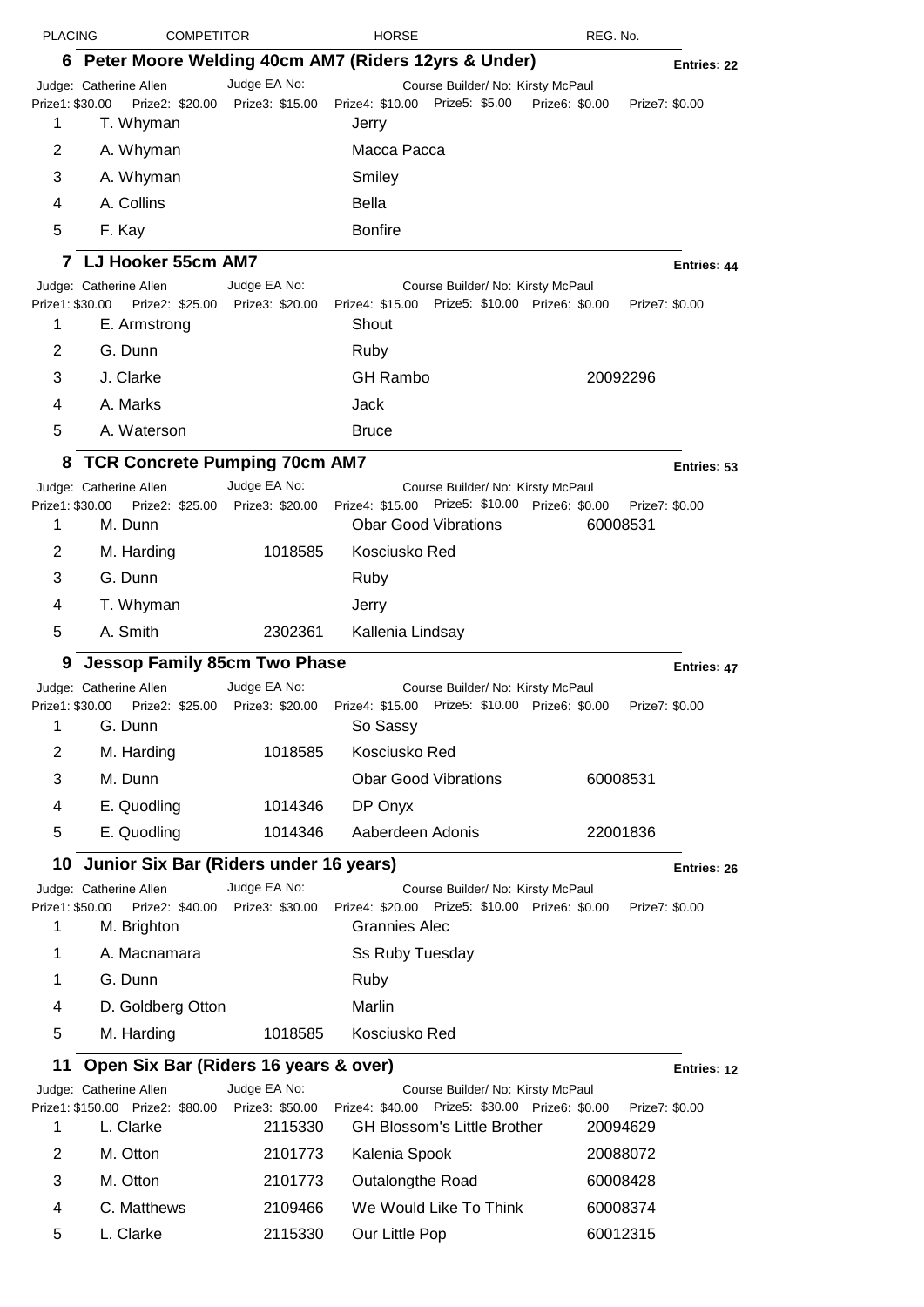| <b>PLACING</b>       | <b>COMPETITOR</b>                                                         |                                 | <b>HORSE</b>                                                                                    | REG. No.                         |             |
|----------------------|---------------------------------------------------------------------------|---------------------------------|-------------------------------------------------------------------------------------------------|----------------------------------|-------------|
| 6.                   |                                                                           |                                 | Peter Moore Welding 40cm AM7 (Riders 12yrs & Under)                                             |                                  | Entries: 22 |
|                      | Judge: Catherine Allen                                                    | Judge EA No:                    | Course Builder/ No: Kirsty McPaul                                                               |                                  |             |
| Prize1: \$30.00<br>1 | T. Whyman                                                                 | Prize2: \$20.00 Prize3: \$15.00 | Prize4: \$10.00 Prize5: \$5.00<br>Jerry                                                         | Prize6: \$0.00<br>Prize7: \$0.00 |             |
| 2                    | A. Whyman                                                                 |                                 | Macca Pacca                                                                                     |                                  |             |
| 3                    | A. Whyman                                                                 |                                 | Smiley                                                                                          |                                  |             |
| 4                    | A. Collins                                                                |                                 | <b>Bella</b>                                                                                    |                                  |             |
| 5                    | F. Kay                                                                    |                                 | <b>Bonfire</b>                                                                                  |                                  |             |
|                      | LJ Hooker 55cm AM7                                                        |                                 |                                                                                                 |                                  | Entries: 44 |
| Prize1: \$30.00<br>1 | Judge: Catherine Allen<br>Prize2: \$25.00 Prize3: \$20.00<br>E. Armstrong | Judge EA No:                    | Course Builder/ No: Kirsty McPaul<br>Prize4: \$15.00 Prize5: \$10.00 Prize6: \$0.00<br>Shout    | Prize7: \$0.00                   |             |
| 2                    | G. Dunn                                                                   |                                 | Ruby                                                                                            |                                  |             |
| 3                    | J. Clarke                                                                 |                                 | <b>GH Rambo</b>                                                                                 | 20092296                         |             |
| 4                    | A. Marks                                                                  |                                 | Jack                                                                                            |                                  |             |
| 5                    | A. Waterson                                                               |                                 | <b>Bruce</b>                                                                                    |                                  |             |
| 8                    | <b>TCR Concrete Pumping 70cm AM7</b>                                      |                                 |                                                                                                 |                                  | Entries: 53 |
|                      | Judge: Catherine Allen                                                    | Judge EA No:                    | Course Builder/ No: Kirsty McPaul                                                               |                                  |             |
| Prize1: \$30.00<br>1 | M. Dunn                                                                   | Prize2: \$25.00 Prize3: \$20.00 | Prize4: \$15.00 Prize5: \$10.00 Prize6: \$0.00<br><b>Obar Good Vibrations</b>                   | Prize7: \$0.00<br>60008531       |             |
| 2                    | M. Harding                                                                | 1018585                         | Kosciusko Red                                                                                   |                                  |             |
| 3                    | G. Dunn                                                                   |                                 | Ruby                                                                                            |                                  |             |
| 4                    | T. Whyman                                                                 |                                 | Jerry                                                                                           |                                  |             |
| 5                    | A. Smith                                                                  | 2302361                         | Kallenia Lindsay                                                                                |                                  |             |
|                      |                                                                           |                                 |                                                                                                 |                                  |             |
| 9                    | <b>Jessop Family 85cm Two Phase</b><br>Judge: Catherine Allen             | Judge EA No:                    |                                                                                                 |                                  | Entries: 47 |
| 1                    | Prize1: \$30.00    Prize2: \$25.00    Prize3: \$20.00<br>G. Dunn          |                                 | Course Builder/ No: Kirsty McPaul<br>Prize4: \$15.00 Prize5: \$10.00 Prize6: \$0.00<br>So Sassy | Prize7: \$0.00                   |             |
| 2                    | M. Harding                                                                | 1018585                         | Kosciusko Red                                                                                   |                                  |             |
| 3                    | M. Dunn                                                                   |                                 | <b>Obar Good Vibrations</b>                                                                     | 60008531                         |             |
| 4                    | E. Quodling                                                               | 1014346                         | DP Onyx                                                                                         |                                  |             |
| 5                    | E. Quodling                                                               | 1014346                         | Aaberdeen Adonis                                                                                | 22001836                         |             |
|                      | 10 Junior Six Bar (Riders under 16 years)                                 |                                 |                                                                                                 |                                  |             |
|                      | Judge: Catherine Allen                                                    | Judge EA No:                    | Course Builder/ No: Kirsty McPaul                                                               |                                  | Entries: 26 |
| Prize1: \$50.00<br>1 | Prize2: \$40.00<br>M. Brighton                                            | Prize3: \$30.00                 | Prize5: \$10.00 Prize6: \$0.00<br>Prize4: \$20.00<br><b>Grannies Alec</b>                       | Prize7: \$0.00                   |             |
| 1                    | A. Macnamara                                                              |                                 | Ss Ruby Tuesday                                                                                 |                                  |             |
| 1                    | G. Dunn                                                                   |                                 | Ruby                                                                                            |                                  |             |
| 4                    | D. Goldberg Otton                                                         |                                 | Marlin                                                                                          |                                  |             |
| 5                    | M. Harding                                                                | 1018585                         | Kosciusko Red                                                                                   |                                  |             |
| 11                   | Open Six Bar (Riders 16 years & over)                                     |                                 |                                                                                                 |                                  | Entries: 12 |
|                      | Judge: Catherine Allen                                                    | Judge EA No:                    | Course Builder/ No: Kirsty McPaul                                                               |                                  |             |
|                      | Prize1: \$150.00 Prize2: \$80.00                                          | Prize3: \$50.00                 | Prize4: \$40.00 Prize5: \$30.00 Prize6: \$0.00                                                  | Prize7: \$0.00                   |             |
| 1                    | L. Clarke                                                                 | 2115330                         | <b>GH Blossom's Little Brother</b>                                                              | 20094629                         |             |
| 2                    | M. Otton                                                                  | 2101773                         | Kalenia Spook                                                                                   | 20088072                         |             |
| 3                    | M. Otton                                                                  | 2101773                         | Outalongthe Road                                                                                | 60008428                         |             |
| 4                    | C. Matthews                                                               | 2109466                         | We Would Like To Think                                                                          | 60008374                         |             |
| 5                    | L. Clarke                                                                 | 2115330                         | Our Little Pop                                                                                  | 60012315                         |             |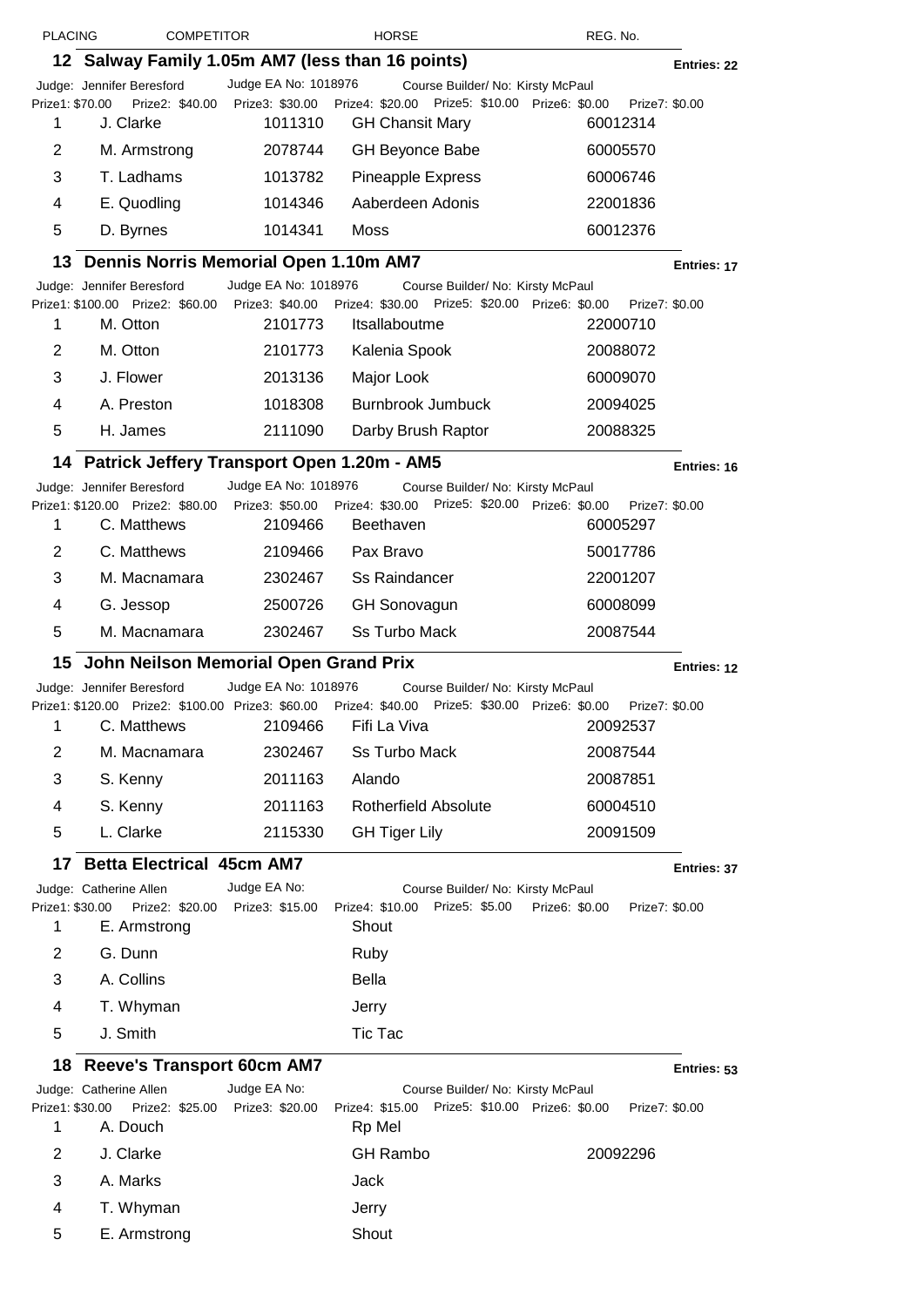| <b>PLACING</b>       | <b>COMPETITOR</b>                                |                                 | <b>HORSE</b>                                                                                     | REG. No.                         |             |
|----------------------|--------------------------------------------------|---------------------------------|--------------------------------------------------------------------------------------------------|----------------------------------|-------------|
|                      | 12 Salway Family 1.05m AM7 (less than 16 points) |                                 |                                                                                                  |                                  | Entries: 22 |
|                      | Judge: Jennifer Beresford                        | Judge EA No: 1018976            | Course Builder/ No: Kirsty McPaul                                                                |                                  |             |
| Prize1: \$70.00<br>1 | Prize2: \$40.00<br>J. Clarke                     | 1011310                         | Prize3: \$30.00 Prize4: \$20.00 Prize5: \$10.00 Prize6: \$0.00<br><b>GH Chansit Mary</b>         | Prize7: \$0.00<br>60012314       |             |
| 2                    | M. Armstrong                                     | 2078744                         | <b>GH Beyonce Babe</b>                                                                           | 60005570                         |             |
| 3                    | T. Ladhams                                       | 1013782                         | <b>Pineapple Express</b>                                                                         | 60006746                         |             |
| 4                    | E. Quodling                                      | 1014346                         | Aaberdeen Adonis                                                                                 | 22001836                         |             |
| 5                    | D. Byrnes                                        | 1014341                         | Moss                                                                                             | 60012376                         |             |
| 13                   | Dennis Norris Memorial Open 1.10m AM7            |                                 |                                                                                                  |                                  | Entries: 17 |
|                      | Judge: Jennifer Beresford                        | Judge EA No: 1018976            | Course Builder/ No: Kirsty McPaul                                                                |                                  |             |
| 1                    | Prize1: \$100.00 Prize2: \$60.00<br>M. Otton     | 2101773                         | Prize3: \$40.00 Prize4: \$30.00 Prize5: \$20.00 Prize6: \$0.00<br>Itsallaboutme                  | Prize7: \$0.00<br>22000710       |             |
| 2                    | M. Otton                                         | 2101773                         | Kalenia Spook                                                                                    | 20088072                         |             |
| 3                    | J. Flower                                        | 2013136                         | Major Look                                                                                       | 60009070                         |             |
| 4                    | A. Preston                                       | 1018308                         | <b>Burnbrook Jumbuck</b>                                                                         | 20094025                         |             |
| 5                    | H. James                                         | 2111090                         | Darby Brush Raptor                                                                               | 20088325                         |             |
|                      | 14 Patrick Jeffery Transport Open 1.20m - AM5    |                                 |                                                                                                  |                                  | Entries: 16 |
|                      | Judge: Jennifer Beresford                        | Judge EA No: 1018976            | Course Builder/ No: Kirsty McPaul                                                                |                                  |             |
| 1                    | Prize1: \$120.00 Prize2: \$80.00<br>C. Matthews  | 2109466                         | Prize3: \$50.00 Prize4: \$30.00 Prize5: \$20.00 Prize6: \$0.00<br>Beethaven                      | Prize7: \$0.00<br>60005297       |             |
| 2                    | C. Matthews                                      | 2109466                         | Pax Bravo                                                                                        | 50017786                         |             |
| 3                    | M. Macnamara                                     | 2302467                         | <b>Ss Raindancer</b>                                                                             | 22001207                         |             |
| 4                    | G. Jessop                                        | 2500726                         | <b>GH Sonovagun</b>                                                                              | 60008099                         |             |
| 5                    | M. Macnamara                                     | 2302467                         | <b>Ss Turbo Mack</b>                                                                             | 20087544                         |             |
| 15                   | John Neilson Memorial Open Grand Prix            |                                 |                                                                                                  |                                  | Entries: 12 |
|                      | Judge: Jennifer Beresford                        | Judge EA No: 1018976            | Course Builder/ No: Kirsty McPaul                                                                |                                  |             |
|                      |                                                  |                                 | Prize1: \$120.00 Prize2: \$100.00 Prize3: \$60.00 Prize4: \$40.00 Prize5: \$30.00 Prize6: \$0.00 | Prize7: \$0.00                   |             |
| 1                    | C. Matthews                                      | 2109466                         | Fifi La Viva                                                                                     | 20092537                         |             |
| 2                    | M. Macnamara                                     | 2302467                         | Ss Turbo Mack                                                                                    | 20087544                         |             |
| 3                    | S. Kenny                                         | 2011163                         | Alando                                                                                           | 20087851                         |             |
| 4                    | S. Kenny                                         | 2011163                         | <b>Rotherfield Absolute</b>                                                                      | 60004510                         |             |
| 5                    | L. Clarke                                        | 2115330                         | <b>GH Tiger Lily</b>                                                                             | 20091509                         |             |
| 17                   | <b>Betta Electrical 45cm AM7</b>                 |                                 |                                                                                                  |                                  | Entries: 37 |
| Prize1: \$30.00      | Judge: Catherine Allen<br>Prize2: \$20.00        | Judge EA No:<br>Prize3: \$15.00 | Course Builder/ No: Kirsty McPaul<br>Prize4: \$10.00 Prize5: \$5.00                              | Prize6: \$0.00<br>Prize7: \$0.00 |             |
| 1                    | E. Armstrong                                     |                                 | Shout                                                                                            |                                  |             |
| 2                    | G. Dunn                                          |                                 | Ruby                                                                                             |                                  |             |
| 3                    | A. Collins                                       |                                 | <b>Bella</b>                                                                                     |                                  |             |
| 4                    | T. Whyman                                        |                                 | Jerry                                                                                            |                                  |             |
| 5                    | J. Smith                                         |                                 | <b>Tic Tac</b>                                                                                   |                                  |             |
| 18                   | <b>Reeve's Transport 60cm AM7</b>                |                                 |                                                                                                  |                                  | Entries: 53 |
|                      | Judge: Catherine Allen                           | Judge EA No:                    | Course Builder/ No: Kirsty McPaul                                                                |                                  |             |
| Prize1: \$30.00<br>1 | Prize2: \$25.00<br>A. Douch                      | Prize3: \$20.00                 | Prize4: \$15.00 Prize5: \$10.00 Prize6: \$0.00<br>Rp Mel                                         | Prize7: \$0.00                   |             |
| 2                    | J. Clarke                                        |                                 | <b>GH Rambo</b>                                                                                  | 20092296                         |             |
| 3                    | A. Marks                                         |                                 | Jack                                                                                             |                                  |             |
| 4                    | T. Whyman                                        |                                 | Jerry                                                                                            |                                  |             |
| 5                    | E. Armstrong                                     |                                 | Shout                                                                                            |                                  |             |
|                      |                                                  |                                 |                                                                                                  |                                  |             |